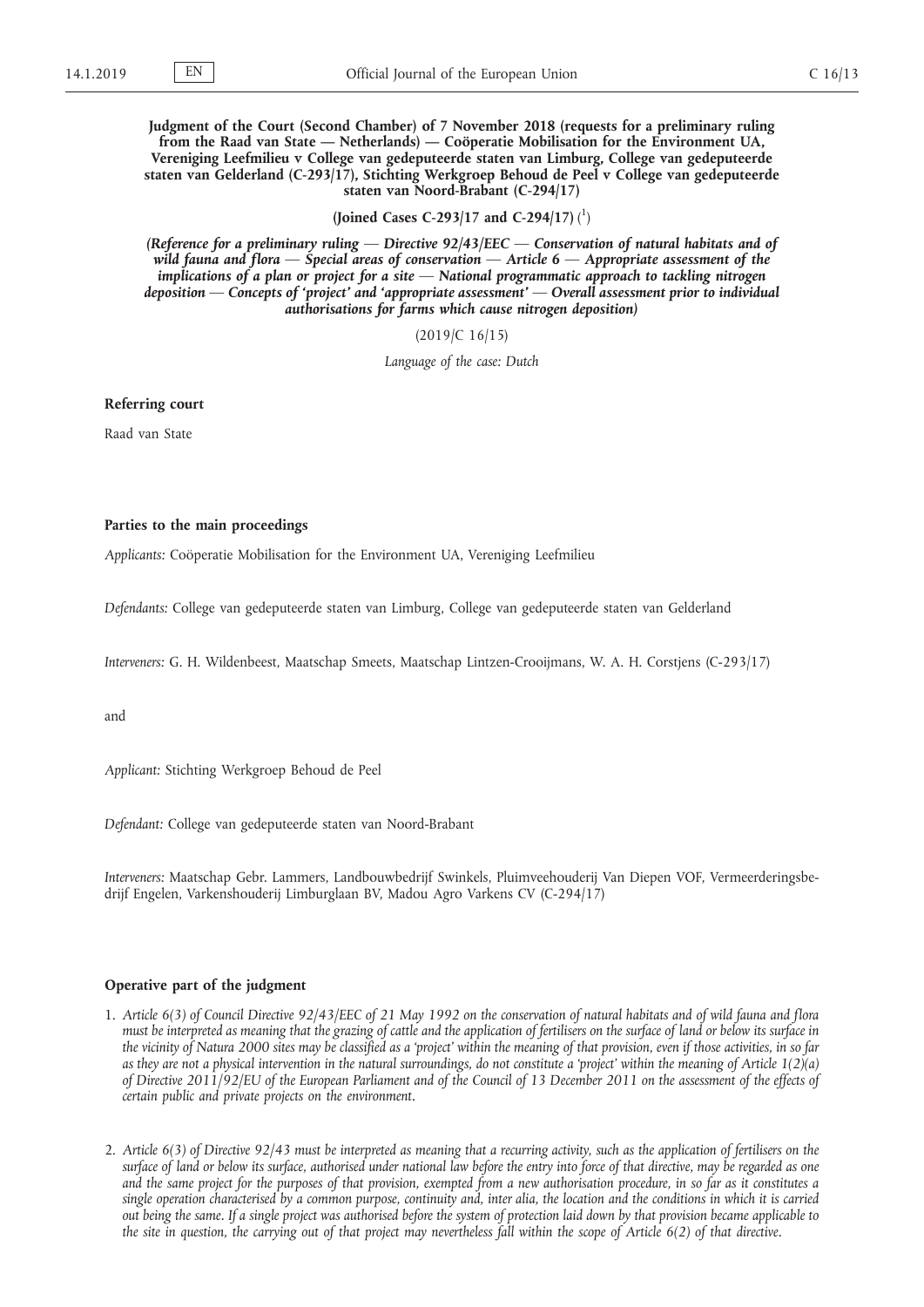**Judgment of the Court (Second Chamber) of 7 November 2018 (requests for a preliminary ruling from the Raad van State — Netherlands) — Coöperatie Mobilisation for the Environment UA, Vereniging Leefmilieu v College van gedeputeerde staten van Limburg, College van gedeputeerde staten van Gelderland (C-293/17), Stichting Werkgroep Behoud de Peel v College van gedeputeerde staten van Noord-Brabant (C-294/17)**

**(Joined Cases C-293/17 and C-294/17)** ( 1 )

*(Reference for a preliminary ruling — Directive 92/43/EEC — Conservation of natural habitats and of wild fauna and flora — Special areas of conservation — Article 6 — Appropriate assessment of the implications of a plan or project for a site — National programmatic approach to tackling nitrogen deposition — Concepts of 'project' and 'appropriate assessment' — Overall assessment prior to individual authorisations for farms which cause nitrogen deposition)*

(2019/C 16/15)

*Language of the case: Dutch*

## **Referring court**

Raad van State

## **Parties to the main proceedings**

*Applicants:* Coöperatie Mobilisation for the Environment UA, Vereniging Leefmilieu

*Defendants:* College van gedeputeerde staten van Limburg, College van gedeputeerde staten van Gelderland

*Interveners:* G. H. Wildenbeest, Maatschap Smeets, Maatschap Lintzen-Crooijmans, W. A. H. Corstjens (C-293/17)

and

*Applicant:* Stichting Werkgroep Behoud de Peel

*Defendant:* College van gedeputeerde staten van Noord-Brabant

*Interveners:* Maatschap Gebr. Lammers, Landbouwbedrijf Swinkels, Pluimveehouderij Van Diepen VOF, Vermeerderingsbedrijf Engelen, Varkenshouderij Limburglaan BV, Madou Agro Varkens CV (C-294/17)

## **Operative part of the judgment**

- 1. *Article 6(3) of Council Directive 92/43/EEC of 21 May 1992 on the conservation of natural habitats and of wild fauna and flora must be interpreted as meaning that the grazing of cattle and the application of fertilisers on the surface of land or below its surface in the vicinity of Natura 2000 sites may be classified as a 'project' within the meaning of that provision, even if those activities, in so far as they are not a physical intervention in the natural surroundings, do not constitute a 'project' within the meaning of Article 1(2)(a) of Directive 2011/92/EU of the European Parliament and of the Council of 13 December 2011 on the assessment of the effects of certain public and private projects on the environment.*
- 2. *Article 6(3) of Directive 92/43 must be interpreted as meaning that a recurring activity, such as the application of fertilisers on the surface of land or below its surface, authorised under national law before the entry into force of that directive, may be regarded as one and the same project for the purposes of that provision, exempted from a new authorisation procedure, in so far as it constitutes a single operation characterised by a common purpose, continuity and, inter alia, the location and the conditions in which it is carried out being the same. If a single project was authorised before the system of protection laid down by that provision became applicable to the site in question, the carrying out of that project may nevertheless fall within the scope of Article 6(2) of that directive.*